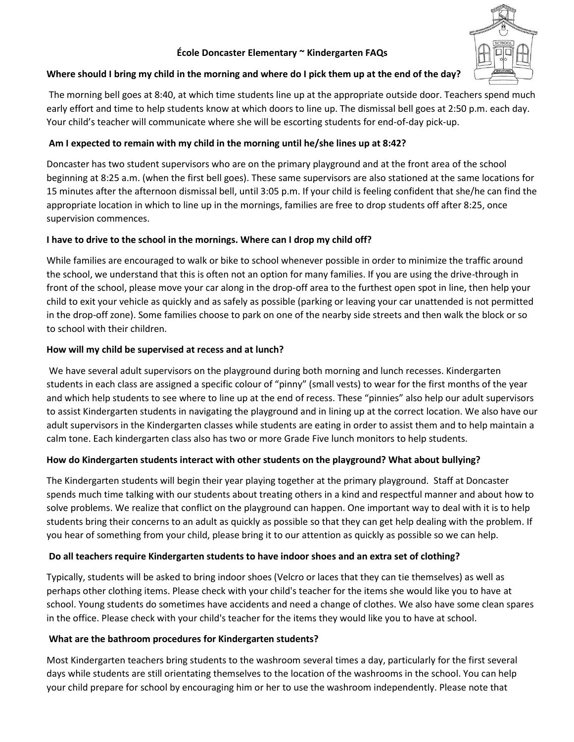### **École Doncaster Elementary ~ Kindergarten FAQs**



#### **Where should I bring my child in the morning and where do I pick them up at the end of the day?**

The morning bell goes at 8:40, at which time students line up at the appropriate outside door. Teachers spend much early effort and time to help students know at which doors to line up. The dismissal bell goes at 2:50 p.m. each day. Your child's teacher will communicate where she will be escorting students for end-of-day pick-up.

### **Am I expected to remain with my child in the morning until he/she lines up at 8:42?**

Doncaster has two student supervisors who are on the primary playground and at the front area of the school beginning at 8:25 a.m. (when the first bell goes). These same supervisors are also stationed at the same locations for 15 minutes after the afternoon dismissal bell, until 3:05 p.m. If your child is feeling confident that she/he can find the appropriate location in which to line up in the mornings, families are free to drop students off after 8:25, once supervision commences.

## **I have to drive to the school in the mornings. Where can I drop my child off?**

While families are encouraged to walk or bike to school whenever possible in order to minimize the traffic around the school, we understand that this is often not an option for many families. If you are using the drive-through in front of the school, please move your car along in the drop-off area to the furthest open spot in line, then help your child to exit your vehicle as quickly and as safely as possible (parking or leaving your car unattended is not permitted in the drop-off zone). Some families choose to park on one of the nearby side streets and then walk the block or so to school with their children.

#### **How will my child be supervised at recess and at lunch?**

We have several adult supervisors on the playground during both morning and lunch recesses. Kindergarten students in each class are assigned a specific colour of "pinny" (small vests) to wear for the first months of the year and which help students to see where to line up at the end of recess. These "pinnies" also help our adult supervisors to assist Kindergarten students in navigating the playground and in lining up at the correct location. We also have our adult supervisors in the Kindergarten classes while students are eating in order to assist them and to help maintain a calm tone. Each kindergarten class also has two or more Grade Five lunch monitors to help students.

# **How do Kindergarten students interact with other students on the playground? What about bullying?**

The Kindergarten students will begin their year playing together at the primary playground. Staff at Doncaster spends much time talking with our students about treating others in a kind and respectful manner and about how to solve problems. We realize that conflict on the playground can happen. One important way to deal with it is to help students bring their concerns to an adult as quickly as possible so that they can get help dealing with the problem. If you hear of something from your child, please bring it to our attention as quickly as possible so we can help.

# **Do all teachers require Kindergarten students to have indoor shoes and an extra set of clothing?**

Typically, students will be asked to bring indoor shoes (Velcro or laces that they can tie themselves) as well as perhaps other clothing items. Please check with your child's teacher for the items she would like you to have at school. Young students do sometimes have accidents and need a change of clothes. We also have some clean spares in the office. Please check with your child's teacher for the items they would like you to have at school.

#### **What are the bathroom procedures for Kindergarten students?**

Most Kindergarten teachers bring students to the washroom several times a day, particularly for the first several days while students are still orientating themselves to the location of the washrooms in the school. You can help your child prepare for school by encouraging him or her to use the washroom independently. Please note that